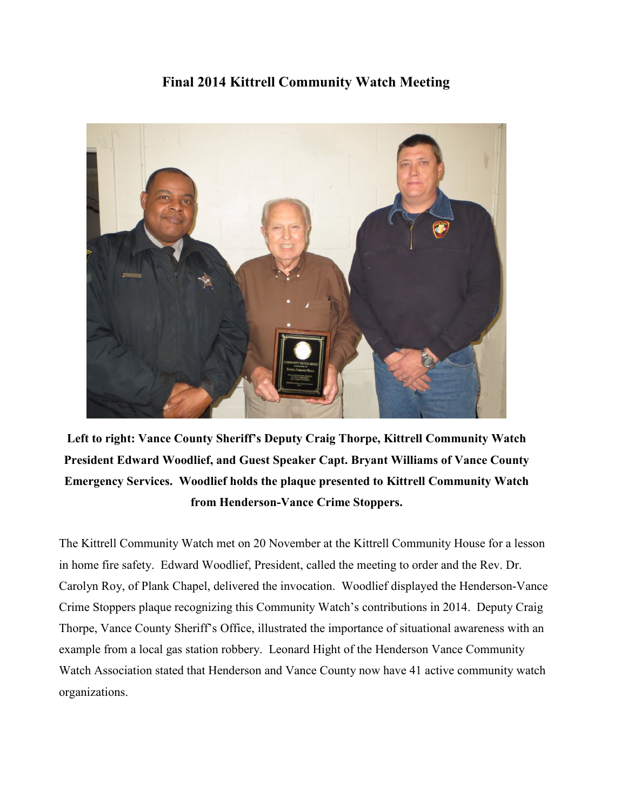## **Final 2014 Kittrell Community Watch Meeting**



**Left to right: Vance County Sheriff's Deputy Craig Thorpe, Kittrell Community Watch President Edward Woodlief, and Guest Speaker Capt. Bryant Williams of Vance County Emergency Services. Woodlief holds the plaque presented to Kittrell Community Watch from Henderson-Vance Crime Stoppers.**

The Kittrell Community Watch met on 20 November at the Kittrell Community House for a lesson in home fire safety. Edward Woodlief, President, called the meeting to order and the Rev. Dr. Carolyn Roy, of Plank Chapel, delivered the invocation. Woodlief displayed the Henderson-Vance Crime Stoppers plaque recognizing this Community Watch's contributions in 2014. Deputy Craig Thorpe, Vance County Sheriff's Office, illustrated the importance of situational awareness with an example from a local gas station robbery. Leonard Hight of the Henderson Vance Community Watch Association stated that Henderson and Vance County now have 41 active community watch organizations.